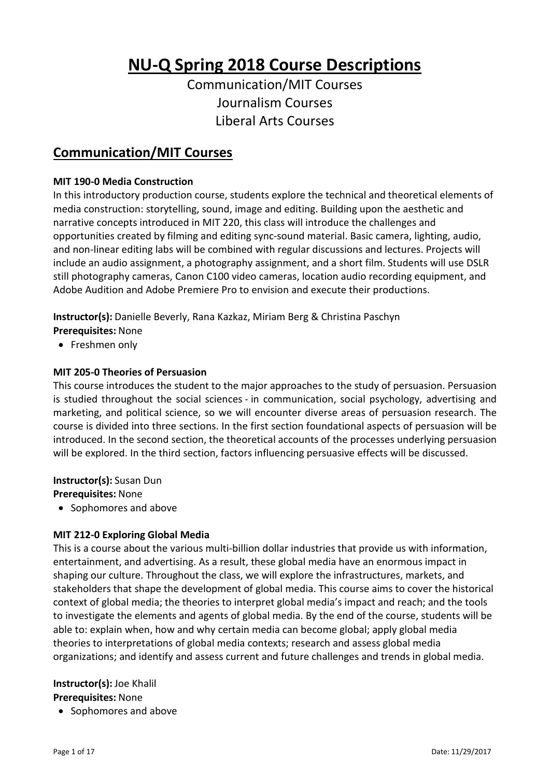# **NU-Q Spring 2018 Course Descriptions**

Communication/MIT Courses Journalism Courses Liberal Arts Courses

## **Communication/MIT Courses**

#### **MIT 190-0 Media Construction**

In this introductory production course, students explore the technical and theoretical elements of media construction: storytelling, sound, image and editing. Building upon the aesthetic and narrative concepts introduced in MIT 220, this class will introduce the challenges and opportunities created by filming and editing sync-sound material. Basic camera, lighting, audio, and non-linear editing labs will be combined with regular discussions and lectures. Projects will include an audio assignment, a photography assignment, and a short film. Students will use DSLR still photography cameras, Canon C100 video cameras, location audio recording equipment, and Adobe Audition and Adobe Premiere Pro to envision and execute their productions.

**Instructor(s):** Danielle Beverly, Rana Kazkaz, Miriam Berg & Christina Paschyn

- **Prerequisites:** None
- Freshmen only

## **MIT 205-0 Theories of Persuasion**

This course introduces the student to the major approaches to the study of persuasion. Persuasion is studied throughout the social sciences - in communication, social psychology, advertising and marketing, and political science, so we will encounter diverse areas of persuasion research. The course is divided into three sections. In the first section foundational aspects of persuasion will be introduced. In the second section, the theoretical accounts of the processes underlying persuasion will be explored. In the third section, factors influencing persuasive effects will be discussed.

**Instructor(s):** Susan Dun

**Prerequisites:** None

• Sophomores and above

## **MIT 212-0 Exploring Global Media**

This is a course about the various multi-billion dollar industries that provide us with information, entertainment, and advertising. As a result, these global media have an enormous impact in shaping our culture. Throughout the class, we will explore the infrastructures, markets, and stakeholders that shape the development of global media. This course aims to cover the historical context of global media; the theories to interpret global media's impact and reach; and the tools to investigate the elements and agents of global media. By the end of the course, students will be able to: explain when, how and why certain media can become global; apply global media theories to interpretations of global media contexts; research and assess global media organizations; and identify and assess current and future challenges and trends in global media.

**Instructor(s):** Joe Khalil **Prerequisites:** None

• Sophomores and above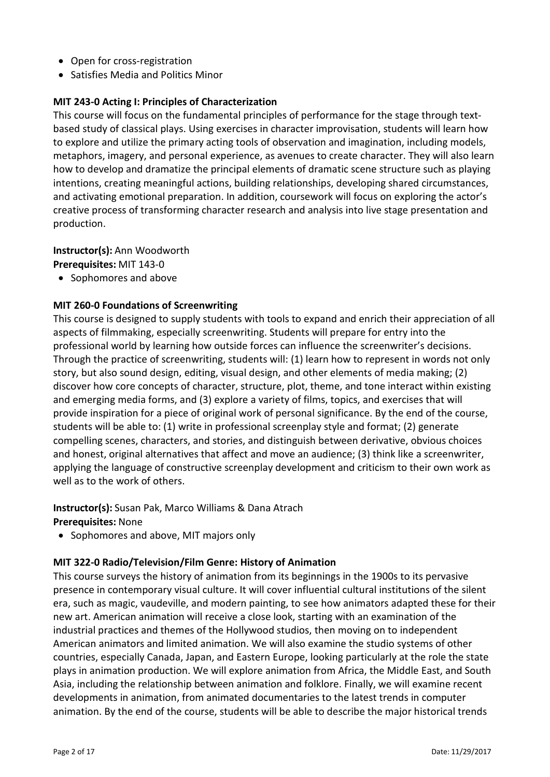- Open for cross-registration
- Satisfies Media and Politics Minor

## **MIT 243-0 Acting I: Principles of Characterization**

This course will focus on the fundamental principles of performance for the stage through textbased study of classical plays. Using exercises in character improvisation, students will learn how to explore and utilize the primary acting tools of observation and imagination, including models, metaphors, imagery, and personal experience, as avenues to create character. They will also learn how to develop and dramatize the principal elements of dramatic scene structure such as playing intentions, creating meaningful actions, building relationships, developing shared circumstances, and activating emotional preparation. In addition, coursework will focus on exploring the actor's creative process of transforming character research and analysis into live stage presentation and production.

## **Instructor(s):** Ann Woodworth

**Prerequisites:** MIT 143-0

• Sophomores and above

## **MIT 260-0 Foundations of Screenwriting**

This course is designed to supply students with tools to expand and enrich their appreciation of all aspects of filmmaking, especially screenwriting. Students will prepare for entry into the professional world by learning how outside forces can influence the screenwriter's decisions. Through the practice of screenwriting, students will: (1) learn how to represent in words not only story, but also sound design, editing, visual design, and other elements of media making; (2) discover how core concepts of character, structure, plot, theme, and tone interact within existing and emerging media forms, and (3) explore a variety of films, topics, and exercises that will provide inspiration for a piece of original work of personal significance. By the end of the course, students will be able to: (1) write in professional screenplay style and format; (2) generate compelling scenes, characters, and stories, and distinguish between derivative, obvious choices and honest, original alternatives that affect and move an audience; (3) think like a screenwriter, applying the language of constructive screenplay development and criticism to their own work as well as to the work of others.

## **Instructor(s):** Susan Pak, Marco Williams & Dana Atrach

**Prerequisites:** None

• Sophomores and above, MIT majors only

## **MIT 322-0 Radio/Television/Film Genre: History of Animation**

This course surveys the history of animation from its beginnings in the 1900s to its pervasive presence in contemporary visual culture. It will cover influential cultural institutions of the silent era, such as magic, vaudeville, and modern painting, to see how animators adapted these for their new art. American animation will receive a close look, starting with an examination of the industrial practices and themes of the Hollywood studios, then moving on to independent American animators and limited animation. We will also examine the studio systems of other countries, especially Canada, Japan, and Eastern Europe, looking particularly at the role the state plays in animation production. We will explore animation from Africa, the Middle East, and South Asia, including the relationship between animation and folklore. Finally, we will examine recent developments in animation, from animated documentaries to the latest trends in computer animation. By the end of the course, students will be able to describe the major historical trends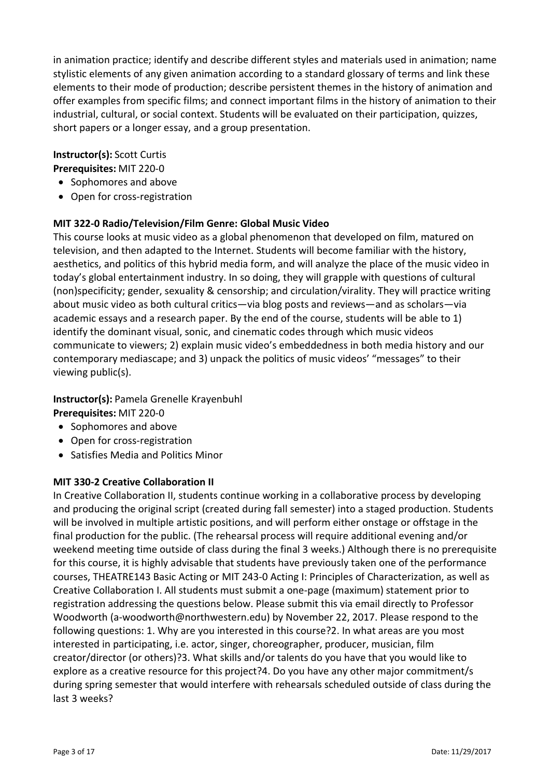in animation practice; identify and describe different styles and materials used in animation; name stylistic elements of any given animation according to a standard glossary of terms and link these elements to their mode of production; describe persistent themes in the history of animation and offer examples from specific films; and connect important films in the history of animation to their industrial, cultural, or social context. Students will be evaluated on their participation, quizzes, short papers or a longer essay, and a group presentation.

## **Instructor(s):** Scott Curtis

**Prerequisites:** MIT 220-0

- Sophomores and above
- Open for cross-registration

## **MIT 322-0 Radio/Television/Film Genre: Global Music Video**

This course looks at music video as a global phenomenon that developed on film, matured on television, and then adapted to the Internet. Students will become familiar with the history, aesthetics, and politics of this hybrid media form, and will analyze the place of the music video in today's global entertainment industry. In so doing, they will grapple with questions of cultural (non)specificity; gender, sexuality & censorship; and circulation/virality. They will practice writing about music video as both cultural critics—via blog posts and reviews—and as scholars—via academic essays and a research paper. By the end of the course, students will be able to 1) identify the dominant visual, sonic, and cinematic codes through which music videos communicate to viewers; 2) explain music video's embeddedness in both media history and our contemporary mediascape; and 3) unpack the politics of music videos' "messages" to their viewing public(s).

**Instructor(s):** Pamela Grenelle Krayenbuhl

**Prerequisites:** MIT 220-0

- Sophomores and above
- Open for cross-registration
- Satisfies Media and Politics Minor

#### **MIT 330-2 Creative Collaboration II**

In Creative Collaboration II, students continue working in a collaborative process by developing and producing the original script (created during fall semester) into a staged production. Students will be involved in multiple artistic positions, and will perform either onstage or offstage in the final production for the public. (The rehearsal process will require additional evening and/or weekend meeting time outside of class during the final 3 weeks.) Although there is no prerequisite for this course, it is highly advisable that students have previously taken one of the performance courses, THEATRE143 Basic Acting or MIT 243-0 Acting I: Principles of Characterization, as well as Creative Collaboration I. All students must submit a one-page (maximum) statement prior to registration addressing the questions below. Please submit this via email directly to Professor Woodworth (a-woodworth@northwestern.edu) by November 22, 2017. Please respond to the following questions: 1. Why are you interested in this course?2. In what areas are you most interested in participating, i.e. actor, singer, choreographer, producer, musician, film creator/director (or others)?3. What skills and/or talents do you have that you would like to explore as a creative resource for this project?4. Do you have any other major commitment/s during spring semester that would interfere with rehearsals scheduled outside of class during the last 3 weeks?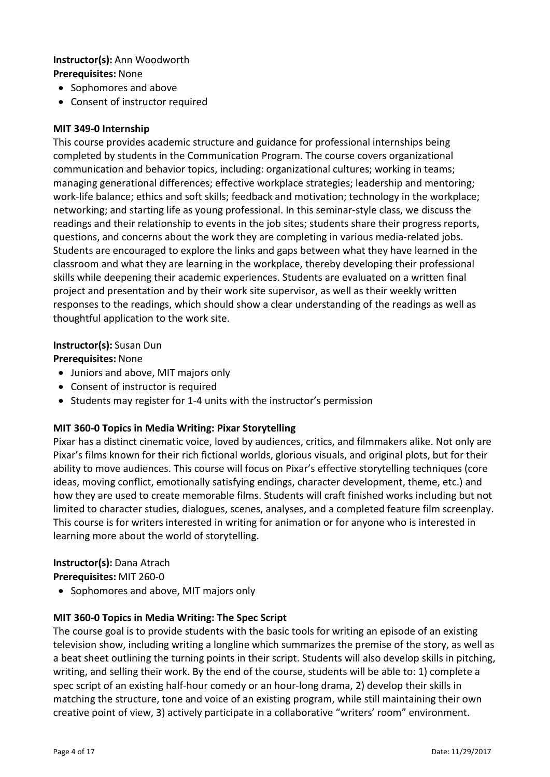## **Instructor(s):** Ann Woodworth **Prerequisites:** None

- Sophomores and above
- Consent of instructor required

## **MIT 349-0 Internship**

This course provides academic structure and guidance for professional internships being completed by students in the Communication Program. The course covers organizational communication and behavior topics, including: organizational cultures; working in teams; managing generational differences; effective workplace strategies; leadership and mentoring; work-life balance; ethics and soft skills; feedback and motivation; technology in the workplace; networking; and starting life as young professional. In this seminar-style class, we discuss the readings and their relationship to events in the job sites; students share their progress reports, questions, and concerns about the work they are completing in various media-related jobs. Students are encouraged to explore the links and gaps between what they have learned in the classroom and what they are learning in the workplace, thereby developing their professional skills while deepening their academic experiences. Students are evaluated on a written final project and presentation and by their work site supervisor, as well as their weekly written responses to the readings, which should show a clear understanding of the readings as well as thoughtful application to the work site.

## **Instructor(s):** Susan Dun

**Prerequisites:** None

- Juniors and above, MIT majors only
- Consent of instructor is required
- Students may register for 1-4 units with the instructor's permission

## **MIT 360-0 Topics in Media Writing: Pixar Storytelling**

Pixar has a distinct cinematic voice, loved by audiences, critics, and filmmakers alike. Not only are Pixar's films known for their rich fictional worlds, glorious visuals, and original plots, but for their ability to move audiences. This course will focus on Pixar's effective storytelling techniques (core ideas, moving conflict, emotionally satisfying endings, character development, theme, etc.) and how they are used to create memorable films. Students will craft finished works including but not limited to character studies, dialogues, scenes, analyses, and a completed feature film screenplay. This course is for writers interested in writing for animation or for anyone who is interested in learning more about the world of storytelling.

## **Instructor(s):** Dana Atrach

**Prerequisites:** MIT 260-0

• Sophomores and above, MIT majors only

## **MIT 360-0 Topics in Media Writing: The Spec Script**

The course goal is to provide students with the basic tools for writing an episode of an existing television show, including writing a longline which summarizes the premise of the story, as well as a beat sheet outlining the turning points in their script. Students will also develop skills in pitching, writing, and selling their work. By the end of the course, students will be able to: 1) complete a spec script of an existing half-hour comedy or an hour-long drama, 2) develop their skills in matching the structure, tone and voice of an existing program, while still maintaining their own creative point of view, 3) actively participate in a collaborative "writers' room" environment.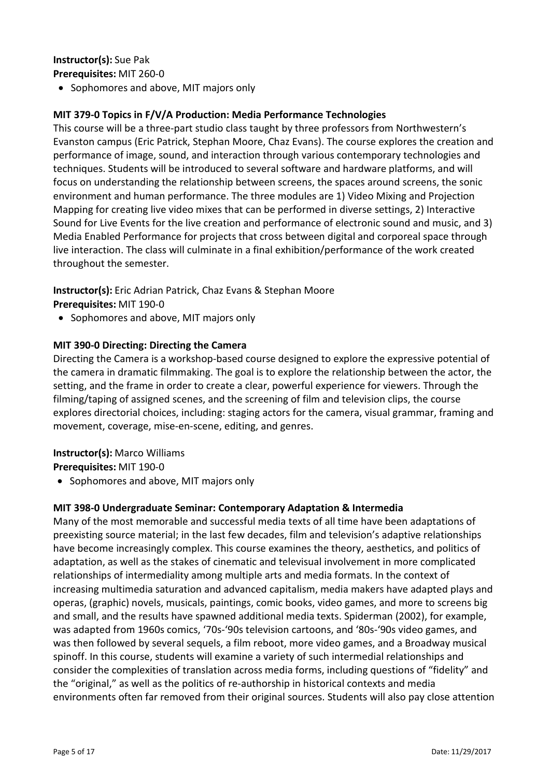## **Instructor(s):** Sue Pak **Prerequisites:** MIT 260-0

• Sophomores and above, MIT majors only

## **MIT 379-0 Topics in F/V/A Production: Media Performance Technologies**

This course will be a three-part studio class taught by three professors from Northwestern's Evanston campus (Eric Patrick, Stephan Moore, Chaz Evans). The course explores the creation and performance of image, sound, and interaction through various contemporary technologies and techniques. Students will be introduced to several software and hardware platforms, and will focus on understanding the relationship between screens, the spaces around screens, the sonic environment and human performance. The three modules are 1) Video Mixing and Projection Mapping for creating live video mixes that can be performed in diverse settings, 2) Interactive Sound for Live Events for the live creation and performance of electronic sound and music, and 3) Media Enabled Performance for projects that cross between digital and corporeal space through live interaction. The class will culminate in a final exhibition/performance of the work created throughout the semester.

**Instructor(s):** Eric Adrian Patrick, Chaz Evans & Stephan Moore **Prerequisites:** MIT 190-0

• Sophomores and above, MIT majors only

## **MIT 390-0 Directing: Directing the Camera**

Directing the Camera is a workshop-based course designed to explore the expressive potential of the camera in dramatic filmmaking. The goal is to explore the relationship between the actor, the setting, and the frame in order to create a clear, powerful experience for viewers. Through the filming/taping of assigned scenes, and the screening of film and television clips, the course explores directorial choices, including: staging actors for the camera, visual grammar, framing and movement, coverage, mise-en-scene, editing, and genres.

## **Instructor(s):** Marco Williams

**Prerequisites:** MIT 190-0

• Sophomores and above, MIT majors only

## **MIT 398-0 Undergraduate Seminar: Contemporary Adaptation & Intermedia**

Many of the most memorable and successful media texts of all time have been adaptations of preexisting source material; in the last few decades, film and television's adaptive relationships have become increasingly complex. This course examines the theory, aesthetics, and politics of adaptation, as well as the stakes of cinematic and televisual involvement in more complicated relationships of intermediality among multiple arts and media formats. In the context of increasing multimedia saturation and advanced capitalism, media makers have adapted plays and operas, (graphic) novels, musicals, paintings, comic books, video games, and more to screens big and small, and the results have spawned additional media texts. Spiderman (2002), for example, was adapted from 1960s comics, '70s-'90s television cartoons, and '80s-'90s video games, and was then followed by several sequels, a film reboot, more video games, and a Broadway musical spinoff. In this course, students will examine a variety of such intermedial relationships and consider the complexities of translation across media forms, including questions of "fidelity" and the "original," as well as the politics of re-authorship in historical contexts and media environments often far removed from their original sources. Students will also pay close attention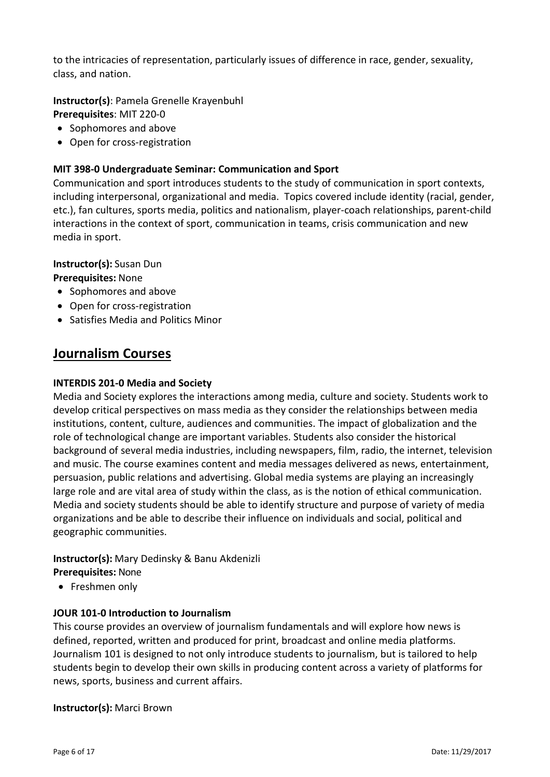to the intricacies of representation, particularly issues of difference in race, gender, sexuality, class, and nation.

**Instructor(s)**: Pamela Grenelle Krayenbuhl **Prerequisites**: MIT 220-0

- Sophomores and above
- Open for cross-registration

## **MIT 398-0 Undergraduate Seminar: Communication and Sport**

Communication and sport introduces students to the study of communication in sport contexts, including interpersonal, organizational and media. Topics covered include identity (racial, gender, etc.), fan cultures, sports media, politics and nationalism, player-coach relationships, parent-child interactions in the context of sport, communication in teams, crisis communication and new media in sport.

**Instructor(s):** Susan Dun

## **Prerequisites:** None

- Sophomores and above
- Open for cross-registration
- Satisfies Media and Politics Minor

## **Journalism Courses**

#### **INTERDIS 201-0 Media and Society**

Media and Society explores the interactions among media, culture and society. Students work to develop critical perspectives on mass media as they consider the relationships between media institutions, content, culture, audiences and communities. The impact of globalization and the role of technological change are important variables. Students also consider the historical background of several media industries, including newspapers, film, radio, the internet, television and music. The course examines content and media messages delivered as news, entertainment, persuasion, public relations and advertising. Global media systems are playing an increasingly large role and are vital area of study within the class, as is the notion of ethical communication. Media and society students should be able to identify structure and purpose of variety of media organizations and be able to describe their influence on individuals and social, political and geographic communities.

## **Instructor(s):** Mary Dedinsky & Banu Akdenizli **Prerequisites:** None

• Freshmen only

## **JOUR 101-0 Introduction to Journalism**

This course provides an overview of journalism fundamentals and will explore how news is defined, reported, written and produced for print, broadcast and online media platforms. Journalism 101 is designed to not only introduce students to journalism, but is tailored to help students begin to develop their own skills in producing content across a variety of platforms for news, sports, business and current affairs.

#### **Instructor(s):** Marci Brown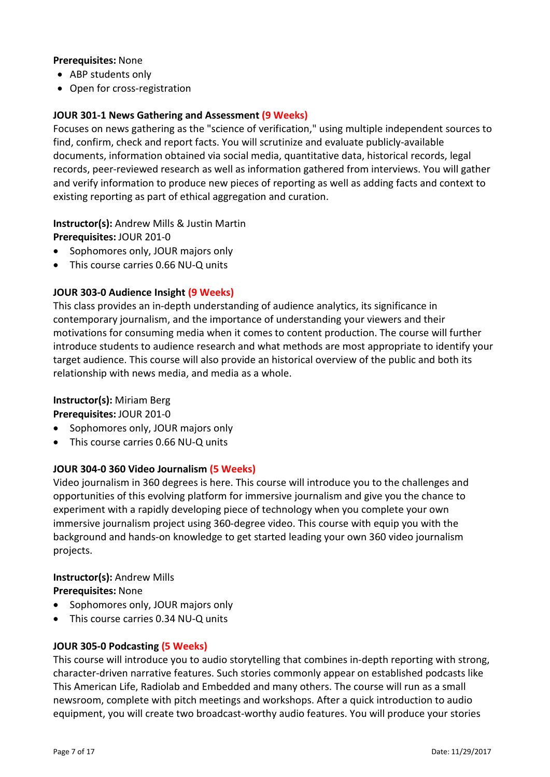## **Prerequisites:** None

- ABP students only
- Open for cross-registration

## **JOUR 301-1 News Gathering and Assessment (9 Weeks)**

Focuses on news gathering as the "science of verification," using multiple independent sources to find, confirm, check and report facts. You will scrutinize and evaluate publicly-available documents, information obtained via social media, quantitative data, historical records, legal records, peer-reviewed research as well as information gathered from interviews. You will gather and verify information to produce new pieces of reporting as well as adding facts and context to existing reporting as part of ethical aggregation and curation.

**Instructor(s):** Andrew Mills & Justin Martin **Prerequisites:** JOUR 201-0

- Sophomores only, JOUR majors only
- This course carries 0.66 NU-Q units

## **JOUR 303-0 Audience Insight (9 Weeks)**

This class provides an in-depth understanding of audience analytics, its significance in contemporary journalism, and the importance of understanding your viewers and their motivations for consuming media when it comes to content production. The course will further introduce students to audience research and what methods are most appropriate to identify your target audience. This course will also provide an historical overview of the public and both its relationship with news media, and media as a whole.

## **Instructor(s):** Miriam Berg

**Prerequisites:** JOUR 201-0

- Sophomores only, JOUR majors only
- This course carries 0.66 NU-Q units

## **JOUR 304-0 360 Video Journalism (5 Weeks)**

Video journalism in 360 degrees is here. This course will introduce you to the challenges and opportunities of this evolving platform for immersive journalism and give you the chance to experiment with a rapidly developing piece of technology when you complete your own immersive journalism project using 360-degree video. This course with equip you with the background and hands-on knowledge to get started leading your own 360 video journalism projects.

#### **Instructor(s):** Andrew Mills **Prerequisites:** None

- Sophomores only, JOUR majors only
- This course carries 0.34 NU-Q units

#### **JOUR 305-0 Podcasting (5 Weeks)**

This course will introduce you to audio storytelling that combines in-depth reporting with strong, character-driven narrative features. Such stories commonly appear on established podcasts like This American Life, Radiolab and Embedded and many others. The course will run as a small newsroom, complete with pitch meetings and workshops. After a quick introduction to audio equipment, you will create two broadcast-worthy audio features. You will produce your stories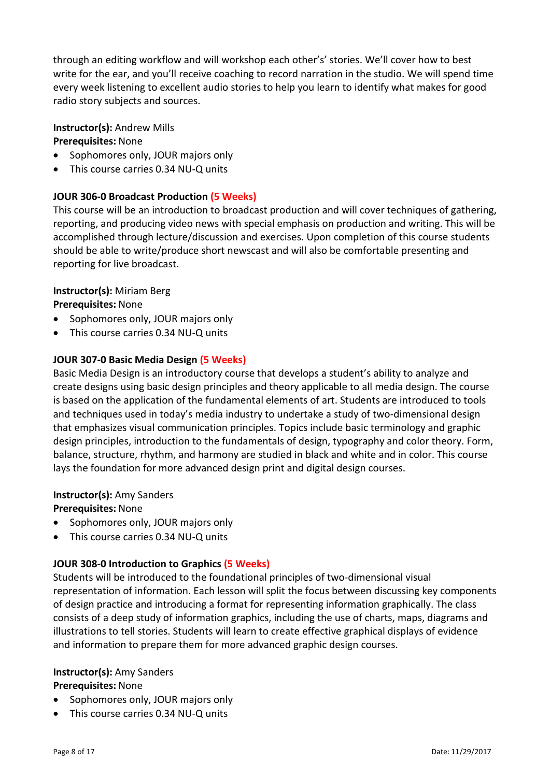through an editing workflow and will workshop each other's' stories. We'll cover how to best write for the ear, and you'll receive coaching to record narration in the studio. We will spend time every week listening to excellent audio stories to help you learn to identify what makes for good radio story subjects and sources.

## **Instructor(s):** Andrew Mills **Prerequisites:** None

- Sophomores only, JOUR majors only
- This course carries 0.34 NU-Q units

## **JOUR 306-0 Broadcast Production (5 Weeks)**

This course will be an introduction to broadcast production and will cover techniques of gathering, reporting, and producing video news with special emphasis on production and writing. This will be accomplished through lecture/discussion and exercises. Upon completion of this course students should be able to write/produce short newscast and will also be comfortable presenting and reporting for live broadcast.

## **Instructor(s):** Miriam Berg

**Prerequisites:** None

- Sophomores only, JOUR majors only
- This course carries 0.34 NU-Q units

## **JOUR 307-0 Basic Media Design (5 Weeks)**

Basic Media Design is an introductory course that develops a student's ability to analyze and create designs using basic design principles and theory applicable to all media design. The course is based on the application of the fundamental elements of art. Students are introduced to tools and techniques used in today's media industry to undertake a study of two-dimensional design that emphasizes visual communication principles. Topics include basic terminology and graphic design principles, introduction to the fundamentals of design, typography and color theory. Form, balance, structure, rhythm, and harmony are studied in black and white and in color. This course lays the foundation for more advanced design print and digital design courses.

## **Instructor(s):** Amy Sanders

**Prerequisites:** None

- Sophomores only, JOUR majors only
- This course carries 0.34 NU-Q units

#### **JOUR 308-0 Introduction to Graphics (5 Weeks)**

Students will be introduced to the foundational principles of two-dimensional visual representation of information. Each lesson will split the focus between discussing key components of design practice and introducing a format for representing information graphically. The class consists of a deep study of information graphics, including the use of charts, maps, diagrams and illustrations to tell stories. Students will learn to create effective graphical displays of evidence and information to prepare them for more advanced graphic design courses.

#### **Instructor(s):** Amy Sanders

**Prerequisites:** None

- Sophomores only, JOUR majors only
- This course carries 0.34 NU-Q units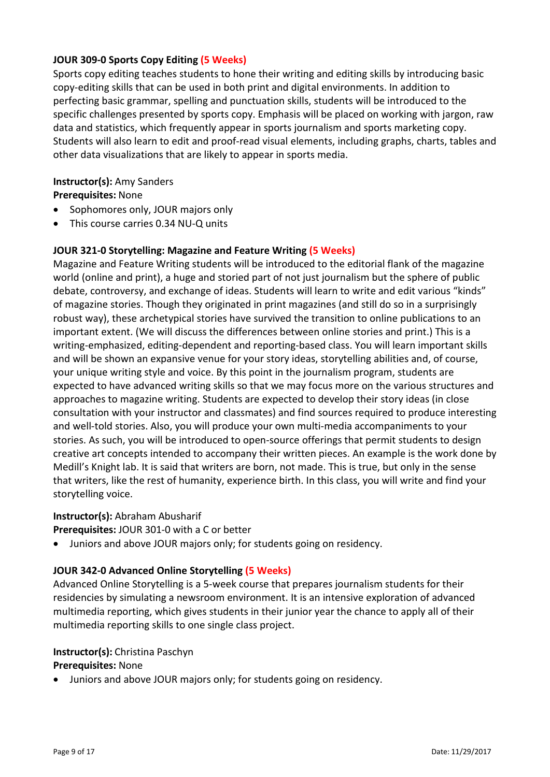## **JOUR 309-0 Sports Copy Editing (5 Weeks)**

Sports copy editing teaches students to hone their writing and editing skills by introducing basic copy-editing skills that can be used in both print and digital environments. In addition to perfecting basic grammar, spelling and punctuation skills, students will be introduced to the specific challenges presented by sports copy. Emphasis will be placed on working with jargon, raw data and statistics, which frequently appear in sports journalism and sports marketing copy. Students will also learn to edit and proof-read visual elements, including graphs, charts, tables and other data visualizations that are likely to appear in sports media.

#### **Instructor(s):** Amy Sanders **Prerequisites:** None

- Sophomores only, JOUR majors only
- This course carries 0.34 NU-Q units

## **JOUR 321-0 Storytelling: Magazine and Feature Writing (5 Weeks)**

Magazine and Feature Writing students will be introduced to the editorial flank of the magazine world (online and print), a huge and storied part of not just journalism but the sphere of public debate, controversy, and exchange of ideas. Students will learn to write and edit various "kinds" of magazine stories. Though they originated in print magazines (and still do so in a surprisingly robust way), these archetypical stories have survived the transition to online publications to an important extent. (We will discuss the differences between online stories and print.) This is a writing-emphasized, editing-dependent and reporting-based class. You will learn important skills and will be shown an expansive venue for your story ideas, storytelling abilities and, of course, your unique writing style and voice. By this point in the journalism program, students are expected to have advanced writing skills so that we may focus more on the various structures and approaches to magazine writing. Students are expected to develop their story ideas (in close consultation with your instructor and classmates) and find sources required to produce interesting and well-told stories. Also, you will produce your own multi-media accompaniments to your stories. As such, you will be introduced to open-source offerings that permit students to design creative art concepts intended to accompany their written pieces. An example is the work done by Medill's Knight lab. It is said that writers are born, not made. This is true, but only in the sense that writers, like the rest of humanity, experience birth. In this class, you will write and find your storytelling voice.

## **Instructor(s):** Abraham Abusharif

**Prerequisites:** JOUR 301-0 with a C or better

• Juniors and above JOUR majors only; for students going on residency.

## **JOUR 342-0 Advanced Online Storytelling (5 Weeks)**

Advanced Online Storytelling is a 5-week course that prepares journalism students for their residencies by simulating a newsroom environment. It is an intensive exploration of advanced multimedia reporting, which gives students in their junior year the chance to apply all of their multimedia reporting skills to one single class project.

## **Instructor(s):** Christina Paschyn

**Prerequisites:** None

• Juniors and above JOUR majors only; for students going on residency.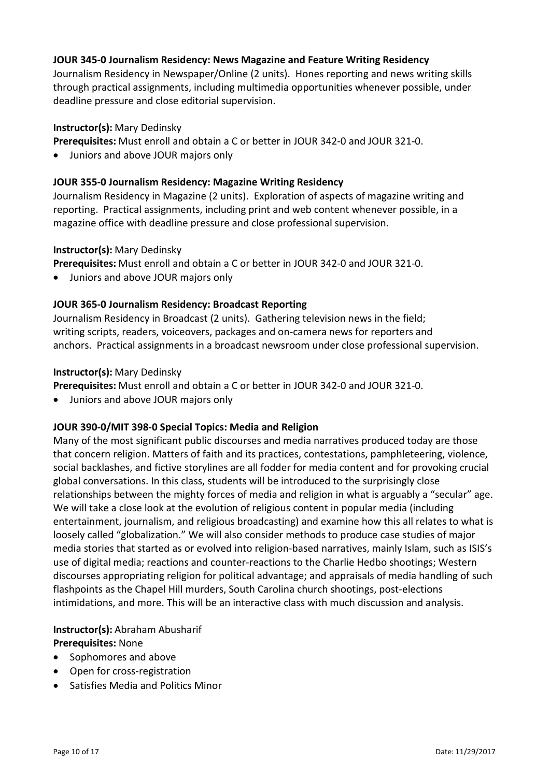## **JOUR 345-0 Journalism Residency: News Magazine and Feature Writing Residency**

Journalism Residency in Newspaper/Online (2 units). Hones reporting and news writing skills through practical assignments, including multimedia opportunities whenever possible, under deadline pressure and close editorial supervision.

#### **Instructor(s):** Mary Dedinsky

**Prerequisites:** Must enroll and obtain a C or better in JOUR 342-0 and JOUR 321-0.

• Juniors and above JOUR majors only

#### **JOUR 355-0 Journalism Residency: Magazine Writing Residency**

Journalism Residency in Magazine (2 units). Exploration of aspects of magazine writing and reporting. Practical assignments, including print and web content whenever possible, in a magazine office with deadline pressure and close professional supervision.

#### **Instructor(s):** Mary Dedinsky

**Prerequisites:** Must enroll and obtain a C or better in JOUR 342-0 and JOUR 321-0.

• Juniors and above JOUR majors only

#### **JOUR 365-0 Journalism Residency: Broadcast Reporting**

Journalism Residency in Broadcast (2 units). Gathering television news in the field; writing scripts, readers, voiceovers, packages and on-camera news for reporters and anchors. Practical assignments in a broadcast newsroom under close professional supervision.

#### **Instructor(s):** Mary Dedinsky

**Prerequisites:** Must enroll and obtain a C or better in JOUR 342-0 and JOUR 321-0.

• Juniors and above JOUR majors only

#### **JOUR 390-0/MIT 398-0 Special Topics: Media and Religion**

Many of the most significant public discourses and media narratives produced today are those that concern religion. Matters of faith and its practices, contestations, pamphleteering, violence, social backlashes, and fictive storylines are all fodder for media content and for provoking crucial global conversations. In this class, students will be introduced to the surprisingly close relationships between the mighty forces of media and religion in what is arguably a "secular" age. We will take a close look at the evolution of religious content in popular media (including entertainment, journalism, and religious broadcasting) and examine how this all relates to what is loosely called "globalization." We will also consider methods to produce case studies of major media stories that started as or evolved into religion-based narratives, mainly Islam, such as ISIS's use of digital media; reactions and counter-reactions to the Charlie Hedbo shootings; Western discourses appropriating religion for political advantage; and appraisals of media handling of such flashpoints as the Chapel Hill murders, South Carolina church shootings, post-elections intimidations, and more. This will be an interactive class with much discussion and analysis.

## **Instructor(s):** Abraham Abusharif **Prerequisites:** None

- Sophomores and above
- Open for cross-registration
- Satisfies Media and Politics Minor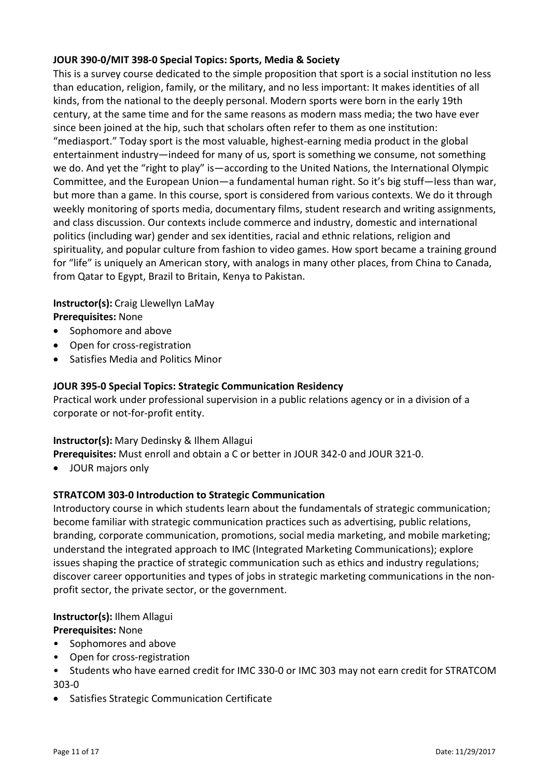## **JOUR 390-0/MIT 398-0 Special Topics: Sports, Media & Society**

This is a survey course dedicated to the simple proposition that sport is a social institution no less than education, religion, family, or the military, and no less important: It makes identities of all kinds, from the national to the deeply personal. Modern sports were born in the early 19th century, at the same time and for the same reasons as modern mass media; the two have ever since been joined at the hip, such that scholars often refer to them as one institution: "mediasport." Today sport is the most valuable, highest-earning media product in the global entertainment industry—indeed for many of us, sport is something we consume, not something we do. And yet the "right to play" is—according to the United Nations, the International Olympic Committee, and the European Union—a fundamental human right. So it's big stuff—less than war, but more than a game. In this course, sport is considered from various contexts. We do it through weekly monitoring of sports media, documentary films, student research and writing assignments, and class discussion. Our contexts include commerce and industry, domestic and international politics (including war) gender and sex identities, racial and ethnic relations, religion and spirituality, and popular culture from fashion to video games. How sport became a training ground for "life" is uniquely an American story, with analogs in many other places, from China to Canada, from Qatar to Egypt, Brazil to Britain, Kenya to Pakistan.

## **Instructor(s):** Craig Llewellyn LaMay **Prerequisites:** None

- Sophomore and above
- Open for cross-registration
- Satisfies Media and Politics Minor

#### **JOUR 395-0 Special Topics: Strategic Communication Residency**

Practical work under professional supervision in a public relations agency or in a division of a corporate or not-for-profit entity.

#### **Instructor(s):** Mary Dedinsky & Ilhem Allagui

**Prerequisites:** Must enroll and obtain a C or better in JOUR 342-0 and JOUR 321-0.

• JOUR majors only

#### **STRATCOM 303-0 Introduction to Strategic Communication**

Introductory course in which students learn about the fundamentals of strategic communication; become familiar with strategic communication practices such as advertising, public relations, branding, corporate communication, promotions, social media marketing, and mobile marketing; understand the integrated approach to IMC (Integrated Marketing Communications); explore issues shaping the practice of strategic communication such as ethics and industry regulations; discover career opportunities and types of jobs in strategic marketing communications in the nonprofit sector, the private sector, or the government.

## **Instructor(s):** Ilhem Allagui

**Prerequisites:** None

- Sophomores and above
- Open for cross-registration
- Students who have earned credit for IMC 330-0 or IMC 303 may not earn credit for STRATCOM 303-0
- Satisfies Strategic Communication Certificate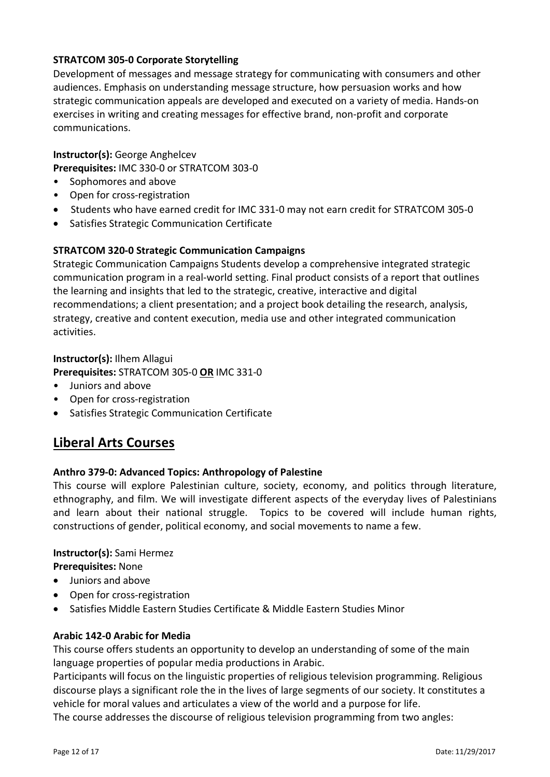## **STRATCOM 305-0 Corporate Storytelling**

Development of messages and message strategy for communicating with consumers and other audiences. Emphasis on understanding message structure, how persuasion works and how strategic communication appeals are developed and executed on a variety of media. Hands-on exercises in writing and creating messages for effective brand, non-profit and corporate communications.

## **Instructor(s):** George Anghelcev

**Prerequisites:** IMC 330-0 or STRATCOM 303-0

- Sophomores and above
- Open for cross-registration
- Students who have earned credit for IMC 331-0 may not earn credit for STRATCOM 305-0
- Satisfies Strategic Communication Certificate

## **STRATCOM 320-0 Strategic Communication Campaigns**

Strategic Communication Campaigns Students develop a comprehensive integrated strategic communication program in a real-world setting. Final product consists of a report that outlines the learning and insights that led to the strategic, creative, interactive and digital recommendations; a client presentation; and a project book detailing the research, analysis, strategy, creative and content execution, media use and other integrated communication activities.

#### **Instructor(s):** Ilhem Allagui

**Prerequisites:** STRATCOM 305-0 **OR** IMC 331-0

- Juniors and above
- Open for cross-registration
- Satisfies Strategic Communication Certificate

## **Liberal Arts Courses**

#### **Anthro 379-0: Advanced Topics: Anthropology of Palestine**

This course will explore Palestinian culture, society, economy, and politics through literature, ethnography, and film. We will investigate different aspects of the everyday lives of Palestinians and learn about their national struggle. Topics to be covered will include human rights, constructions of gender, political economy, and social movements to name a few.

## **Instructor(s):** Sami Hermez

**Prerequisites:** None

- Juniors and above
- Open for cross-registration
- Satisfies Middle Eastern Studies Certificate & Middle Eastern Studies Minor

#### **Arabic 142-0 Arabic for Media**

This course offers students an opportunity to develop an understanding of some of the main language properties of popular media productions in Arabic.

Participants will focus on the linguistic properties of religious television programming. Religious discourse plays a significant role the in the lives of large segments of our society. It constitutes a vehicle for moral values and articulates a view of the world and a purpose for life.

The course addresses the discourse of religious television programming from two angles: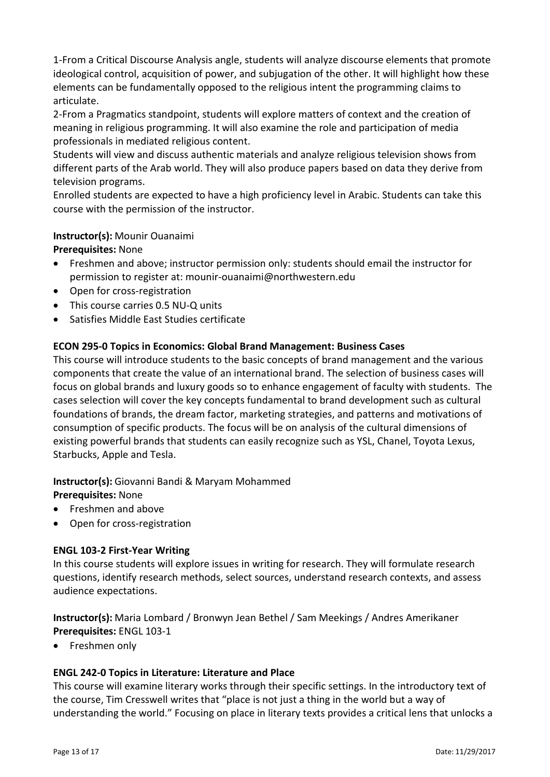1-From a Critical Discourse Analysis angle, students will analyze discourse elements that promote ideological control, acquisition of power, and subjugation of the other. It will highlight how these elements can be fundamentally opposed to the religious intent the programming claims to articulate.

2-From a Pragmatics standpoint, students will explore matters of context and the creation of meaning in religious programming. It will also examine the role and participation of media professionals in mediated religious content.

Students will view and discuss authentic materials and analyze religious television shows from different parts of the Arab world. They will also produce papers based on data they derive from television programs.

Enrolled students are expected to have a high proficiency level in Arabic. Students can take this course with the permission of the instructor.

## **Instructor(s):** Mounir Ouanaimi

**Prerequisites:** None

- Freshmen and above; instructor permission only: students should email the instructor for permission to register at: [mounir-ouanaimi@northwestern.edu](mailto:mounir-ouanaimi@northwestern.edu)
- Open for cross-registration
- This course carries 0.5 NU-Q units
- Satisfies Middle East Studies certificate

#### **ECON 295-0 Topics in Economics: Global Brand Management: Business Cases**

This course will introduce students to the basic concepts of brand management and the various components that create the value of an international brand. The selection of business cases will focus on global brands and luxury goods so to enhance engagement of faculty with students. The cases selection will cover the key concepts fundamental to brand development such as cultural foundations of brands, the dream factor, marketing strategies, and patterns and motivations of consumption of specific products. The focus will be on analysis of the cultural dimensions of existing powerful brands that students can easily recognize such as YSL, Chanel, Toyota Lexus, Starbucks, Apple and Tesla.

**Instructor(s):** Giovanni Bandi & Maryam Mohammed **Prerequisites:** None

- Freshmen and above
- Open for cross-registration

#### **ENGL 103-2 First-Year Writing**

In this course students will explore issues in writing for research. They will formulate research questions, identify research methods, select sources, understand research contexts, and assess audience expectations.

**Instructor(s):** Maria Lombard / Bronwyn Jean Bethel / Sam Meekings / Andres Amerikaner **Prerequisites:** ENGL 103-1

• Freshmen only

#### **ENGL 242-0 Topics in Literature: Literature and Place**

This course will examine literary works through their specific settings. In the introductory text of the course, Tim Cresswell writes that "place is not just a thing in the world but a way of understanding the world." Focusing on place in literary texts provides a critical lens that unlocks a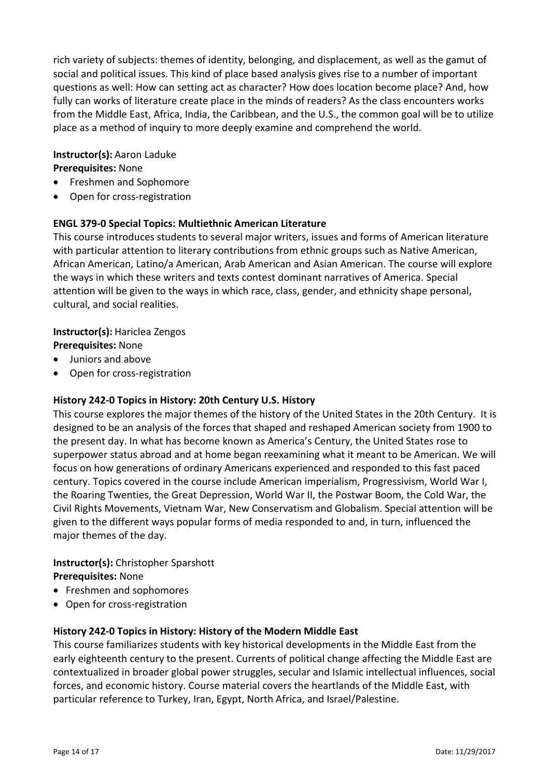rich variety of subjects: themes of identity, belonging, and displacement, as well as the gamut of social and political issues. This kind of place based analysis gives rise to a number of important questions as well: How can setting act as character? How does location become place? And, how fully can works of literature create place in the minds of readers? As the class encounters works from the Middle East, Africa, India, the Caribbean, and the U.S., the common goal will be to utilize place as a method of inquiry to more deeply examine and comprehend the world.

#### **Instructor(s):** Aaron Laduke **Prerequisites:** None

- Freshmen and Sophomore
- Open for cross-registration

## **ENGL 379-0 Special Topics: Multiethnic American Literature**

This course introduces students to several major writers, issues and forms of American literature with particular attention to literary contributions from ethnic groups such as Native American, African American, Latino/a American, Arab American and Asian American. The course will explore the ways in which these writers and texts contest dominant narratives of America. Special attention will be given to the ways in which race, class, gender, and ethnicity shape personal, cultural, and social realities.

#### **Instructor(s):** Hariclea Zengos **Prerequisites:** None

- Juniors and above
- Open for cross-registration

#### **History 242-0 Topics in History: 20th Century U.S. History**

This course explores the major themes of the history of the United States in the 20th Century. It is designed to be an analysis of the forces that shaped and reshaped American society from 1900 to the present day. In what has become known as America's Century, the United States rose to superpower status abroad and at home began reexamining what it meant to be American. We will focus on how generations of ordinary Americans experienced and responded to this fast paced century. Topics covered in the course include American imperialism, Progressivism, World War I, the Roaring Twenties, the Great Depression, World War II, the Postwar Boom, the Cold War, the Civil Rights Movements, Vietnam War, New Conservatism and Globalism. Special attention will be given to the different ways popular forms of media responded to and, in turn, influenced the major themes of the day.

# **Instructor(s):** Christopher Sparshott

**Prerequisites:** None

- Freshmen and sophomores
- Open for cross-registration

#### **History 242-0 Topics in History: History of the Modern Middle East**

This course familiarizes students with key historical developments in the Middle East from the early eighteenth century to the present. Currents of political change affecting the Middle East are contextualized in broader global power struggles, secular and Islamic intellectual influences, social forces, and economic history. Course material covers the heartlands of the Middle East, with particular reference to Turkey, Iran, Egypt, North Africa, and Israel/Palestine.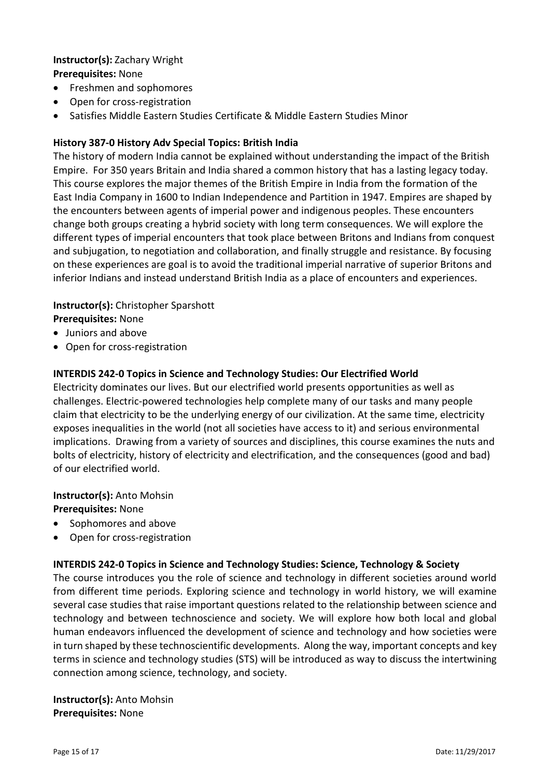## **Instructor(s):** Zachary Wright **Prerequisites:** None

- Freshmen and sophomores
- Open for cross-registration
- Satisfies Middle Eastern Studies Certificate & Middle Eastern Studies Minor

#### **History 387-0 History Adv Special Topics: British India**

The history of modern India cannot be explained without understanding the impact of the British Empire. For 350 years Britain and India shared a common history that has a lasting legacy today. This course explores the major themes of the British Empire in India from the formation of the East India Company in 1600 to Indian Independence and Partition in 1947. Empires are shaped by the encounters between agents of imperial power and indigenous peoples. These encounters change both groups creating a hybrid society with long term consequences. We will explore the different types of imperial encounters that took place between Britons and Indians from conquest and subjugation, to negotiation and collaboration, and finally struggle and resistance. By focusing on these experiences are goal is to avoid the traditional imperial narrative of superior Britons and inferior Indians and instead understand British India as a place of encounters and experiences.

## **Instructor(s):** Christopher Sparshott

## **Prerequisites:** None

- Juniors and above
- Open for cross-registration

## **INTERDIS 242-0 Topics in Science and Technology Studies: Our Electrified World**

Electricity dominates our lives. But our electrified world presents opportunities as well as challenges. Electric-powered technologies help complete many of our tasks and many people claim that electricity to be the underlying energy of our civilization. At the same time, electricity exposes inequalities in the world (not all societies have access to it) and serious environmental implications. Drawing from a variety of sources and disciplines, this course examines the nuts and bolts of electricity, history of electricity and electrification, and the consequences (good and bad) of our electrified world.

**Instructor(s):** Anto Mohsin **Prerequisites:** None

- Sophomores and above
- Open for cross-registration

#### **INTERDIS 242-0 Topics in Science and Technology Studies: Science, Technology & Society**

The course introduces you the role of science and technology in different societies around world from different time periods. Exploring science and technology in world history, we will examine several case studies that raise important questions related to the relationship between science and technology and between technoscience and society. We will explore how both local and global human endeavors influenced the development of science and technology and how societies were in turn shaped by these technoscientific developments. Along the way, important concepts and key terms in science and technology studies (STS) will be introduced as way to discuss the intertwining connection among science, technology, and society.

**Instructor(s):** Anto Mohsin **Prerequisites:** None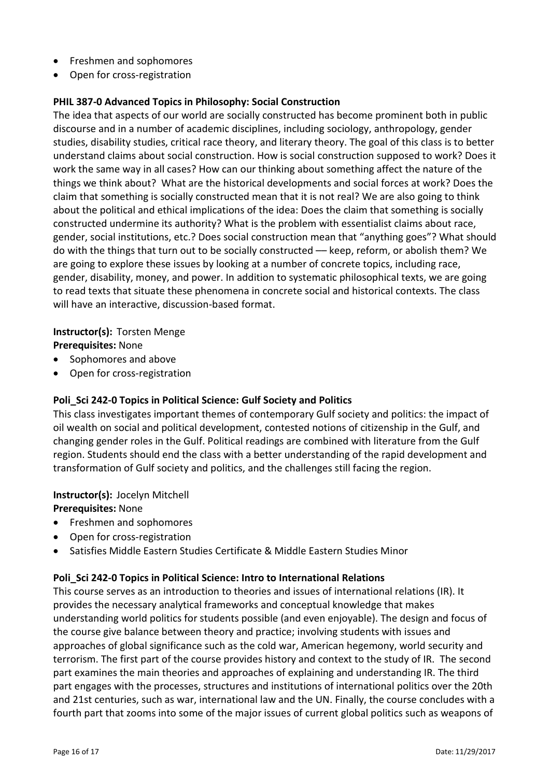- Freshmen and sophomores
- Open for cross-registration

## **PHIL 387-0 Advanced Topics in Philosophy: Social Construction**

The idea that aspects of our world are socially constructed has become prominent both in public discourse and in a number of academic disciplines, including sociology, anthropology, gender studies, disability studies, critical race theory, and literary theory. The goal of this class is to better understand claims about social construction. How is social construction supposed to work? Does it work the same way in all cases? How can our thinking about something affect the nature of the things we think about? What are the historical developments and social forces at work? Does the claim that something is socially constructed mean that it is not real? We are also going to think about the political and ethical implications of the idea: Does the claim that something is socially constructed undermine its authority? What is the problem with essentialist claims about race, gender, social institutions, etc.? Does social construction mean that "anything goes"? What should do with the things that turn out to be socially constructed - keep, reform, or abolish them? We are going to explore these issues by looking at a number of concrete topics, including race, gender, disability, money, and power. In addition to systematic philosophical texts, we are going to read texts that situate these phenomena in concrete social and historical contexts. The class will have an interactive, discussion-based format.

## **Instructor(s):** Torsten Menge **Prerequisites:** None

- Sophomores and above
- Open for cross-registration

#### **Poli\_Sci 242-0 Topics in Political Science: Gulf Society and Politics**

This class investigates important themes of contemporary Gulf society and politics: the impact of oil wealth on social and political development, contested notions of citizenship in the Gulf, and changing gender roles in the Gulf. Political readings are combined with literature from the Gulf region. Students should end the class with a better understanding of the rapid development and transformation of Gulf society and politics, and the challenges still facing the region.

#### **Instructor(s):** Jocelyn Mitchell **Prerequisites:** None

- Freshmen and sophomores
- Open for cross-registration
- Satisfies Middle Eastern Studies Certificate & Middle Eastern Studies Minor

#### **Poli\_Sci 242-0 Topics in Political Science: Intro to International Relations**

This course serves as an introduction to theories and issues of international relations (IR). It provides the necessary analytical frameworks and conceptual knowledge that makes understanding world politics for students possible (and even enjoyable). The design and focus of the course give balance between theory and practice; involving students with issues and approaches of global significance such as the cold war, American hegemony, world security and terrorism. The first part of the course provides history and context to the study of IR. The second part examines the main theories and approaches of explaining and understanding IR. The third part engages with the processes, structures and institutions of international politics over the 20th and 21st centuries, such as war, international law and the UN. Finally, the course concludes with a fourth part that zooms into some of the major issues of current global politics such as weapons of